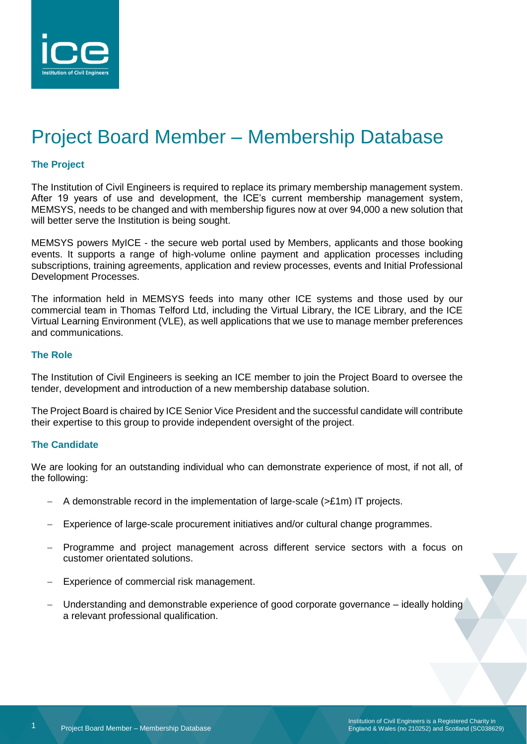

# Project Board Member – Membership Database

#### **The Project**

The Institution of Civil Engineers is required to replace its primary membership management system. After 19 years of use and development, the ICE's current membership management system, MEMSYS, needs to be changed and with membership figures now at over 94,000 a new solution that will better serve the Institution is being sought.

MEMSYS powers MyICE - the secure web portal used by Members, applicants and those booking events. It supports a range of high-volume online payment and application processes including subscriptions, training agreements, application and review processes, events and Initial Professional Development Processes.

The information held in MEMSYS feeds into many other ICE systems and those used by our commercial team in Thomas Telford Ltd, including the Virtual Library, the ICE Library, and the ICE Virtual Learning Environment (VLE), as well applications that we use to manage member preferences and communications.

#### **The Role**

The Institution of Civil Engineers is seeking an ICE member to join the Project Board to oversee the tender, development and introduction of a new membership database solution.

The Project Board is chaired by ICE Senior Vice President and the successful candidate will contribute their expertise to this group to provide independent oversight of the project.

#### **The Candidate**

We are looking for an outstanding individual who can demonstrate experience of most, if not all, of the following:

- − A demonstrable record in the implementation of large-scale (>£1m) IT projects.
- Experience of large-scale procurement initiatives and/or cultural change programmes.
- − Programme and project management across different service sectors with a focus on customer orientated solutions.
- Experience of commercial risk management.
- − Understanding and demonstrable experience of good corporate governance ideally holding a relevant professional qualification.